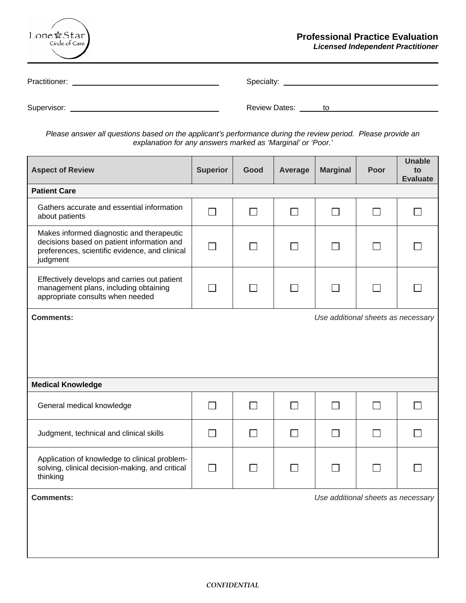| Lone $\star$ Star)<br>Circle of Care | <b>Professional Practice Evaluation</b><br><b>Licensed Independent Practitioner</b> |
|--------------------------------------|-------------------------------------------------------------------------------------|
| Practitioner:                        | Specialty:                                                                          |
| Supervisor:                          | <b>Review Dates:</b><br>to                                                          |

*Please answer all questions based on the applicant's performance during the review period. Please provide an explanation for any answers marked as 'Marginal' or 'Poor.'* 

| <b>Aspect of Review</b>                                                                                                                               | <b>Superior</b> | Good         | Average        | <b>Marginal</b>                    | Poor              | <b>Unable</b><br>to<br><b>Evaluate</b> |
|-------------------------------------------------------------------------------------------------------------------------------------------------------|-----------------|--------------|----------------|------------------------------------|-------------------|----------------------------------------|
| <b>Patient Care</b>                                                                                                                                   |                 |              |                |                                    |                   |                                        |
| Gathers accurate and essential information<br>about patients                                                                                          | $\mathcal{L}$   | $\Box$       | $\blacksquare$ | $\blacksquare$                     | $\Box$            |                                        |
| Makes informed diagnostic and therapeutic<br>decisions based on patient information and<br>preferences, scientific evidence, and clinical<br>judgment |                 |              |                |                                    | $\Box$            |                                        |
| Effectively develops and carries out patient<br>management plans, including obtaining<br>appropriate consults when needed                             |                 | $\mathsf{L}$ |                |                                    | $\Box$            |                                        |
| <b>Comments:</b>                                                                                                                                      |                 |              |                | Use additional sheets as necessary |                   |                                        |
| <b>Medical Knowledge</b>                                                                                                                              |                 |              |                |                                    |                   |                                        |
| General medical knowledge                                                                                                                             |                 |              |                |                                    | $\vert \ \ \vert$ |                                        |
| Judgment, technical and clinical skills                                                                                                               |                 |              |                |                                    | $\Box$            |                                        |
| Application of knowledge to clinical problem-<br>solving, clinical decision-making, and critical<br>thinking                                          | $\blacksquare$  |              |                |                                    | $\mathsf{L}$      |                                        |
| <b>Comments:</b>                                                                                                                                      |                 |              |                | Use additional sheets as necessary |                   |                                        |
|                                                                                                                                                       |                 |              |                |                                    |                   |                                        |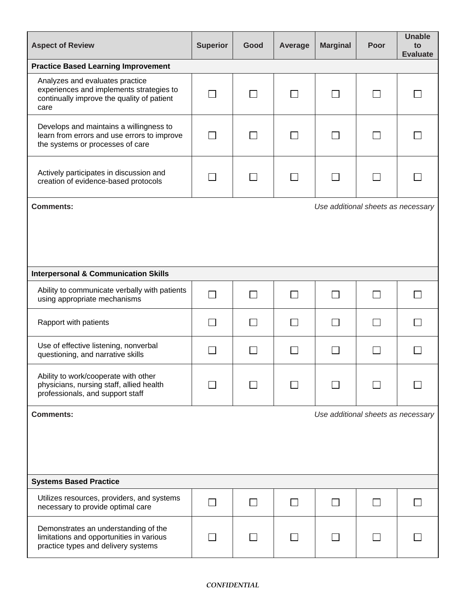| <b>Aspect of Review</b>                                                                                                           | <b>Superior</b> | Good | Average | <b>Marginal</b>                    | Poor | <b>Unable</b><br>to<br><b>Evaluate</b> |
|-----------------------------------------------------------------------------------------------------------------------------------|-----------------|------|---------|------------------------------------|------|----------------------------------------|
| <b>Practice Based Learning Improvement</b>                                                                                        |                 |      |         |                                    |      |                                        |
| Analyzes and evaluates practice<br>experiences and implements strategies to<br>continually improve the quality of patient<br>care |                 |      |         |                                    |      |                                        |
| Develops and maintains a willingness to<br>learn from errors and use errors to improve<br>the systems or processes of care        |                 |      |         |                                    |      |                                        |
| Actively participates in discussion and<br>creation of evidence-based protocols                                                   |                 |      |         |                                    |      |                                        |
| <b>Comments:</b>                                                                                                                  |                 |      |         | Use additional sheets as necessary |      |                                        |
|                                                                                                                                   |                 |      |         |                                    |      |                                        |
| <b>Interpersonal &amp; Communication Skills</b>                                                                                   |                 |      |         |                                    |      |                                        |
| Ability to communicate verbally with patients<br>using appropriate mechanisms                                                     |                 |      |         |                                    |      |                                        |
| Rapport with patients                                                                                                             |                 |      |         |                                    |      |                                        |
| Use of effective listening, nonverbal<br>questioning, and narrative skills                                                        |                 |      |         |                                    |      |                                        |
| Ability to work/cooperate with other<br>physicians, nursing staff, allied health<br>professionals, and support staff              |                 |      |         |                                    |      |                                        |
| <b>Comments:</b>                                                                                                                  |                 |      |         | Use additional sheets as necessary |      |                                        |
|                                                                                                                                   |                 |      |         |                                    |      |                                        |
| <b>Systems Based Practice</b>                                                                                                     |                 |      |         |                                    |      |                                        |
| Utilizes resources, providers, and systems<br>necessary to provide optimal care                                                   |                 |      |         | $\blacksquare$                     |      |                                        |
| Demonstrates an understanding of the<br>limitations and opportunities in various<br>practice types and delivery systems           |                 |      |         |                                    |      |                                        |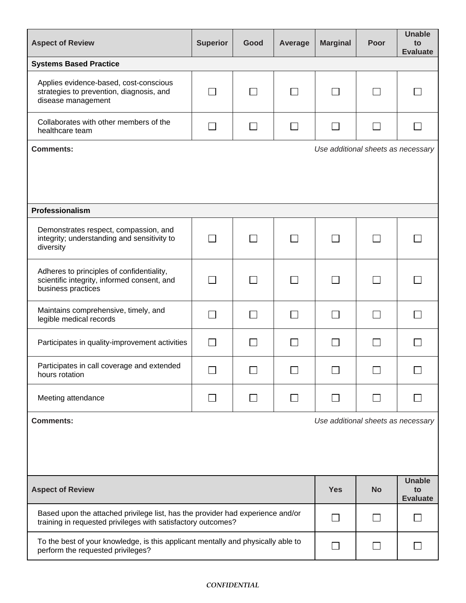| <b>Aspect of Review</b>                                                                                                                        | <b>Superior</b>   | Good                     | Average      | <b>Marginal</b>                    | Poor              | <b>Unable</b><br>to<br><b>Evaluate</b> |
|------------------------------------------------------------------------------------------------------------------------------------------------|-------------------|--------------------------|--------------|------------------------------------|-------------------|----------------------------------------|
| <b>Systems Based Practice</b>                                                                                                                  |                   |                          |              |                                    |                   |                                        |
| Applies evidence-based, cost-conscious<br>strategies to prevention, diagnosis, and<br>disease management                                       |                   | $\Box$                   |              |                                    |                   |                                        |
| Collaborates with other members of the<br>healthcare team                                                                                      |                   |                          |              |                                    |                   |                                        |
| <b>Comments:</b>                                                                                                                               |                   |                          |              | Use additional sheets as necessary |                   |                                        |
|                                                                                                                                                |                   |                          |              |                                    |                   |                                        |
| Professionalism                                                                                                                                |                   |                          |              |                                    |                   |                                        |
| Demonstrates respect, compassion, and<br>integrity; understanding and sensitivity to<br>diversity                                              | $\sim$            | $\perp$                  | $\sim$       | $\mathcal{L}$                      | $\Box$            |                                        |
| Adheres to principles of confidentiality,<br>scientific integrity, informed consent, and<br>business practices                                 | $\vert \ \ \vert$ | $\Box$                   | $\mathsf{L}$ | $\sim$                             | П                 |                                        |
| Maintains comprehensive, timely, and<br>legible medical records                                                                                | $\Box$            | $\Box$                   | $\Box$       | $\mathsf{L}$                       | П                 |                                        |
| Participates in quality-improvement activities                                                                                                 | $\Box$            | $\Box$                   | $\mathsf{L}$ | $\mathsf{L}$                       | $\vert \ \ \vert$ |                                        |
| Participates in call coverage and extended<br>hours rotation                                                                                   | ┍                 |                          | ┍            |                                    | ┍                 |                                        |
| Meeting attendance                                                                                                                             |                   | $\overline{\phantom{a}}$ |              |                                    |                   |                                        |
| <b>Comments:</b><br>Use additional sheets as necessary                                                                                         |                   |                          |              |                                    |                   |                                        |
|                                                                                                                                                |                   |                          |              |                                    |                   |                                        |
| <b>Aspect of Review</b>                                                                                                                        |                   |                          |              | <b>Yes</b>                         | <b>No</b>         | <b>Unable</b><br>to<br><b>Evaluate</b> |
| Based upon the attached privilege list, has the provider had experience and/or<br>training in requested privileges with satisfactory outcomes? |                   |                          |              | <b>Contract</b>                    | $\Box$            |                                        |
| To the best of your knowledge, is this applicant mentally and physically able to<br>perform the requested privileges?                          |                   |                          |              | <b>Contract</b>                    |                   |                                        |

## *CONFIDENTIAL*